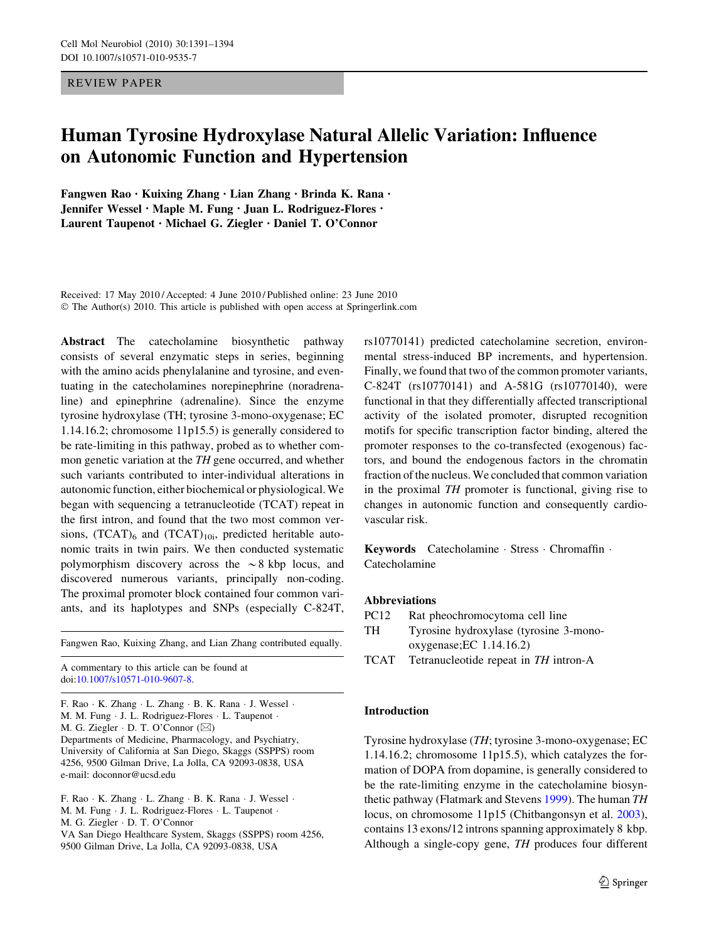REVIEW PAPER

# Human Tyrosine Hydroxylase Natural Allelic Variation: Influence on Autonomic Function and Hypertension

Fangwen Rao • Kuixing Zhang • Lian Zhang • Brinda K. Rana • Jennifer Wessel • Maple M. Fung • Juan L. Rodriguez-Flores • Laurent Taupenot • Michael G. Ziegler • Daniel T. O'Connor

Received: 17 May 2010 / Accepted: 4 June 2010 / Published online: 23 June 2010 © The Author(s) 2010. This article is published with open access at Springerlink.com

Abstract The catecholamine biosynthetic pathway consists of several enzymatic steps in series, beginning with the amino acids phenylalanine and tyrosine, and eventuating in the catecholamines norepinephrine (noradrenaline) and epinephrine (adrenaline). Since the enzyme tyrosine hydroxylase (TH; tyrosine 3-mono-oxygenase; EC 1.14.16.2; chromosome 11p15.5) is generally considered to be rate-limiting in this pathway, probed as to whether common genetic variation at the TH gene occurred, and whether such variants contributed to inter-individual alterations in autonomic function, either biochemical or physiological. We began with sequencing a tetranucleotide (TCAT) repeat in the first intron, and found that the two most common versions,  $(TCAT)$ <sub>6</sub> and  $(TCAT)$ <sub>10i</sub>, predicted heritable autonomic traits in twin pairs. We then conducted systematic polymorphism discovery across the  $\sim$ 8 kbp locus, and discovered numerous variants, principally non-coding. The proximal promoter block contained four common variants, and its haplotypes and SNPs (especially C-824T,

Fangwen Rao, Kuixing Zhang, and Lian Zhang contributed equally.

A commentary to this article can be found at doi[:10.1007/s10571-010-9607-8.](http://dx.doi.org/10.1007/s10571-010-9607-8)

F. Rao · K. Zhang · L. Zhang · B. K. Rana · J. Wessel · M. M. Fung · J. L. Rodriguez-Flores · L. Taupenot · M. G. Ziegler  $\cdot$  D. T. O'Connor ( $\boxtimes$ ) Departments of Medicine, Pharmacology, and Psychiatry, University of California at San Diego, Skaggs (SSPPS) room 4256, 9500 Gilman Drive, La Jolla, CA 92093-0838, USA e-mail: doconnor@ucsd.edu

F. Rao · K. Zhang · L. Zhang · B. K. Rana · J. Wessel · M. M. Fung · J. L. Rodriguez-Flores · L. Taupenot · M. G. Ziegler - D. T. O'Connor VA San Diego Healthcare System, Skaggs (SSPPS) room 4256, 9500 Gilman Drive, La Jolla, CA 92093-0838, USA

rs10770141) predicted catecholamine secretion, environmental stress-induced BP increments, and hypertension. Finally, we found that two of the common promoter variants, C-824T (rs10770141) and A-581G (rs10770140), were functional in that they differentially affected transcriptional activity of the isolated promoter, disrupted recognition motifs for specific transcription factor binding, altered the promoter responses to the co-transfected (exogenous) factors, and bound the endogenous factors in the chromatin fraction of the nucleus. We concluded that common variation in the proximal TH promoter is functional, giving rise to changes in autonomic function and consequently cardiovascular risk.

Keywords Catecholamine · Stress · Chromaffin · Catecholamine

### Abbreviations

- PC12 Rat pheochromocytoma cell line
- TH Tyrosine hydroxylase (tyrosine 3-monooxygenase;EC 1.14.16.2)
- TCAT Tetranucleotide repeat in TH intron-A

### Introduction

Tyrosine hydroxylase (TH; tyrosine 3-mono-oxygenase; EC 1.14.16.2; chromosome 11p15.5), which catalyzes the formation of DOPA from dopamine, is generally considered to be the rate-limiting enzyme in the catecholamine biosynthetic pathway (Flatmark and Stevens [1999](#page-2-0)). The human TH locus, on chromosome 11p15 (Chitbangonsyn et al. [2003](#page-2-0)), contains 13 exons/12 introns spanning approximately 8 kbp. Although a single-copy gene, TH produces four different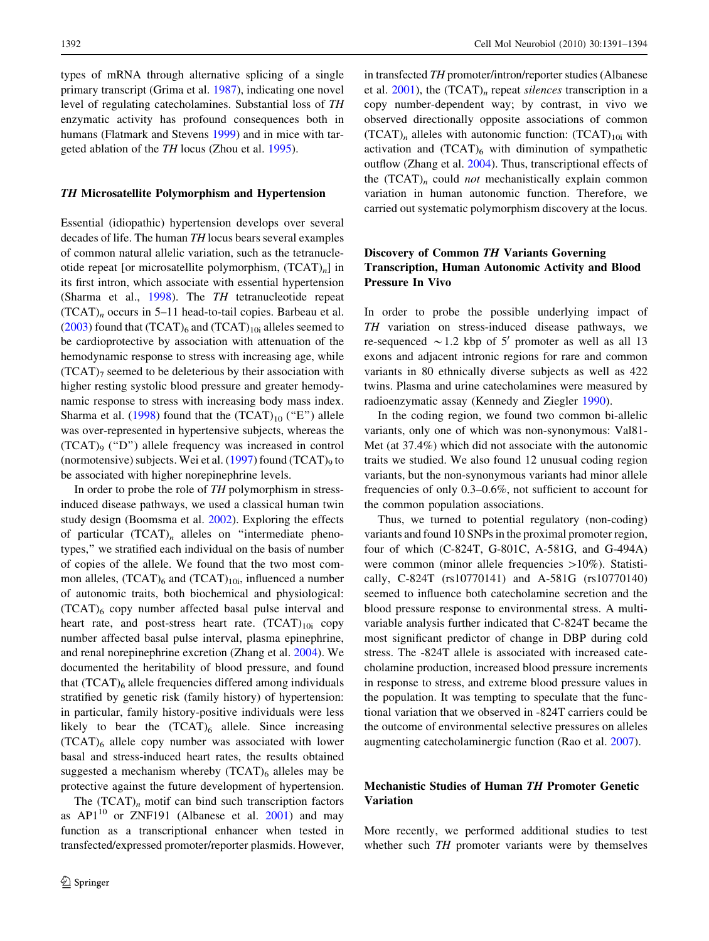types of mRNA through alternative splicing of a single primary transcript (Grima et al. [1987\)](#page-2-0), indicating one novel level of regulating catecholamines. Substantial loss of TH enzymatic activity has profound consequences both in humans (Flatmark and Stevens [1999](#page-2-0)) and in mice with targeted ablation of the TH locus (Zhou et al. [1995](#page-3-0)).

## TH Microsatellite Polymorphism and Hypertension

Essential (idiopathic) hypertension develops over several decades of life. The human TH locus bears several examples of common natural allelic variation, such as the tetranucleotide repeat [or microsatellite polymorphism,  $(TCAT)_{n}$ ] in its first intron, which associate with essential hypertension (Sharma et al., [1998](#page-2-0)). The TH tetranucleotide repeat  $(TCAT)$ <sub>n</sub> occurs in 5–11 head-to-tail copies. Barbeau et al. [\(2003](#page-2-0)) found that  $(TCAT)$ <sub>6</sub> and  $(TCAT)$ <sub>10i</sub> alleles seemed to be cardioprotective by association with attenuation of the hemodynamic response to stress with increasing age, while  $(TCAT)$ <sub>7</sub> seemed to be deleterious by their association with higher resting systolic blood pressure and greater hemodynamic response to stress with increasing body mass index. Sharma et al.  $(1998)$  $(1998)$  found that the  $(TCAT)_{10}$  ("E") allele was over-represented in hypertensive subjects, whereas the (TCAT)9 (''D'') allele frequency was increased in control (normotensive) subjects. Wei et al.  $(1997)$  $(1997)$  found  $(TCAT)$ <sub>9</sub> to be associated with higher norepinephrine levels.

In order to probe the role of TH polymorphism in stressinduced disease pathways, we used a classical human twin study design (Boomsma et al. [2002](#page-2-0)). Exploring the effects of particular  $(TCAT)$ <sub>n</sub> alleles on "intermediate phenotypes,'' we stratified each individual on the basis of number of copies of the allele. We found that the two most common alleles,  $(TCAT)$ <sub>6</sub> and  $(TCAT)$ <sub>10i</sub>, influenced a number of autonomic traits, both biochemical and physiological: (TCAT)6 copy number affected basal pulse interval and heart rate, and post-stress heart rate.  $(TCAT)_{10i}$  copy number affected basal pulse interval, plasma epinephrine, and renal norepinephrine excretion (Zhang et al. [2004\)](#page-2-0). We documented the heritability of blood pressure, and found that  $(TCAT)$ <sub>6</sub> allele frequencies differed among individuals stratified by genetic risk (family history) of hypertension: in particular, family history-positive individuals were less likely to bear the  $(TCAT)_6$  allele. Since increasing  $(TCAT)$ <sub>6</sub> allele copy number was associated with lower basal and stress-induced heart rates, the results obtained suggested a mechanism whereby  $(TCAT)_6$  alleles may be protective against the future development of hypertension.

The  $(TCAT)<sub>n</sub>$  motif can bind such transcription factors as  $API^{10}$  or ZNF191 (Albanese et al. [2001\)](#page-2-0) and may function as a transcriptional enhancer when tested in transfected/expressed promoter/reporter plasmids. However, in transfected TH promoter/intron/reporter studies (Albanese et al.  $2001$ ), the  $(TCAT)$ <sub>n</sub> repeat *silences* transcription in a copy number-dependent way; by contrast, in vivo we observed directionally opposite associations of common  $(TCAT)<sub>n</sub>$  alleles with autonomic function:  $(TCAT)<sub>10i</sub>$  with activation and  $(TCAT)_{6}$  with diminution of sympathetic outflow (Zhang et al. [2004\)](#page-2-0). Thus, transcriptional effects of the  $(TCAT)$ <sub>n</sub> could *not* mechanistically explain common variation in human autonomic function. Therefore, we carried out systematic polymorphism discovery at the locus.

## Discovery of Common TH Variants Governing Transcription, Human Autonomic Activity and Blood Pressure In Vivo

In order to probe the possible underlying impact of TH variation on stress-induced disease pathways, we re-sequenced  $\sim$  1.2 kbp of 5' promoter as well as all 13 exons and adjacent intronic regions for rare and common variants in 80 ethnically diverse subjects as well as 422 twins. Plasma and urine catecholamines were measured by radioenzymatic assay (Kennedy and Ziegler [1990](#page-2-0)).

In the coding region, we found two common bi-allelic variants, only one of which was non-synonymous: Val81- Met (at 37.4%) which did not associate with the autonomic traits we studied. We also found 12 unusual coding region variants, but the non-synonymous variants had minor allele frequencies of only 0.3–0.6%, not sufficient to account for the common population associations.

Thus, we turned to potential regulatory (non-coding) variants and found 10 SNPs in the proximal promoter region, four of which (C-824T, G-801C, A-581G, and G-494A) were common (minor allele frequencies  $>10\%$ ). Statistically, C-824T (rs10770141) and A-581G (rs10770140) seemed to influence both catecholamine secretion and the blood pressure response to environmental stress. A multivariable analysis further indicated that C-824T became the most significant predictor of change in DBP during cold stress. The -824T allele is associated with increased catecholamine production, increased blood pressure increments in response to stress, and extreme blood pressure values in the population. It was tempting to speculate that the functional variation that we observed in -824T carriers could be the outcome of environmental selective pressures on alleles augmenting catecholaminergic function (Rao et al. [2007](#page-2-0)).

## Mechanistic Studies of Human TH Promoter Genetic Variation

More recently, we performed additional studies to test whether such TH promoter variants were by themselves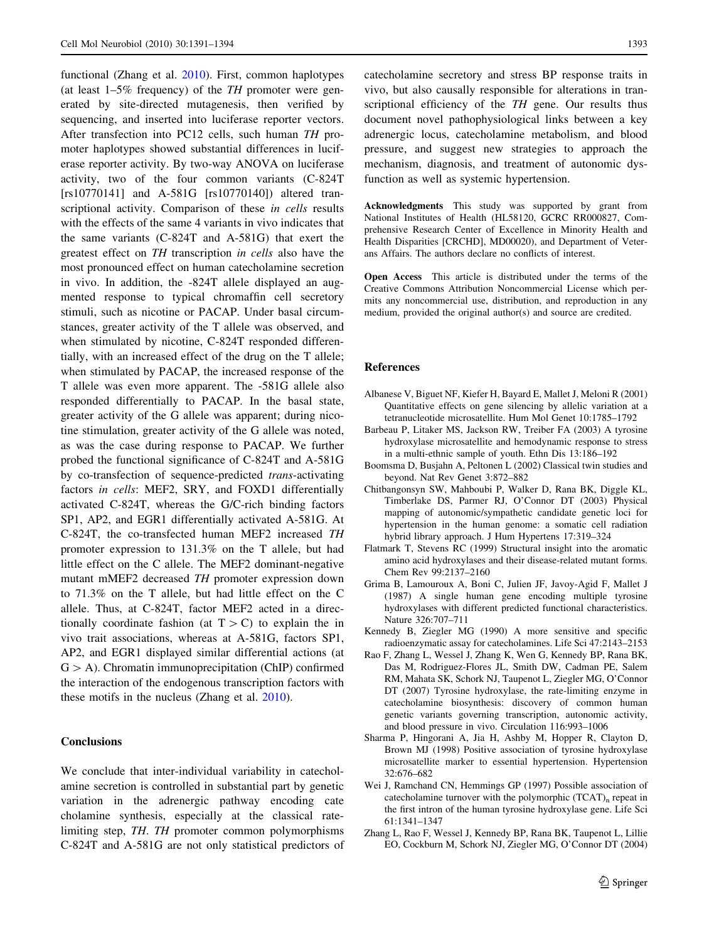<span id="page-2-0"></span>functional (Zhang et al. [2010\)](#page-3-0). First, common haplotypes (at least  $1-5\%$  frequency) of the TH promoter were generated by site-directed mutagenesis, then verified by sequencing, and inserted into luciferase reporter vectors. After transfection into PC12 cells, such human TH promoter haplotypes showed substantial differences in luciferase reporter activity. By two-way ANOVA on luciferase activity, two of the four common variants (C-824T [rs10770141] and A-581G [rs10770140]) altered transcriptional activity. Comparison of these in cells results with the effects of the same 4 variants in vivo indicates that the same variants (C-824T and A-581G) that exert the greatest effect on TH transcription in cells also have the most pronounced effect on human catecholamine secretion in vivo. In addition, the -824T allele displayed an augmented response to typical chromaffin cell secretory stimuli, such as nicotine or PACAP. Under basal circumstances, greater activity of the T allele was observed, and when stimulated by nicotine, C-824T responded differentially, with an increased effect of the drug on the T allele; when stimulated by PACAP, the increased response of the T allele was even more apparent. The -581G allele also responded differentially to PACAP. In the basal state, greater activity of the G allele was apparent; during nicotine stimulation, greater activity of the G allele was noted, as was the case during response to PACAP. We further probed the functional significance of C-824T and A-581G by co-transfection of sequence-predicted trans-activating factors in cells: MEF2, SRY, and FOXD1 differentially activated C-824T, whereas the G/C-rich binding factors SP1, AP2, and EGR1 differentially activated A-581G. At C-824T, the co-transfected human MEF2 increased TH promoter expression to 131.3% on the T allele, but had little effect on the C allele. The MEF2 dominant-negative mutant mMEF2 decreased TH promoter expression down to 71.3% on the T allele, but had little effect on the C allele. Thus, at C-824T, factor MEF2 acted in a directionally coordinate fashion (at  $T > C$ ) to explain the in vivo trait associations, whereas at A-581G, factors SP1, AP2, and EGR1 displayed similar differential actions (at  $G > A$ ). Chromatin immunoprecipitation (ChIP) confirmed the interaction of the endogenous transcription factors with these motifs in the nucleus (Zhang et al. [2010](#page-3-0)).

## **Conclusions**

We conclude that inter-individual variability in catecholamine secretion is controlled in substantial part by genetic variation in the adrenergic pathway encoding cate cholamine synthesis, especially at the classical ratelimiting step, TH. TH promoter common polymorphisms C-824T and A-581G are not only statistical predictors of catecholamine secretory and stress BP response traits in vivo, but also causally responsible for alterations in transcriptional efficiency of the TH gene. Our results thus document novel pathophysiological links between a key adrenergic locus, catecholamine metabolism, and blood pressure, and suggest new strategies to approach the mechanism, diagnosis, and treatment of autonomic dysfunction as well as systemic hypertension.

Acknowledgments This study was supported by grant from National Institutes of Health (HL58120, GCRC RR000827, Comprehensive Research Center of Excellence in Minority Health and Health Disparities [CRCHD], MD00020), and Department of Veterans Affairs. The authors declare no conflicts of interest.

Open Access This article is distributed under the terms of the Creative Commons Attribution Noncommercial License which permits any noncommercial use, distribution, and reproduction in any medium, provided the original author(s) and source are credited.

#### References

- Albanese V, Biguet NF, Kiefer H, Bayard E, Mallet J, Meloni R (2001) Quantitative effects on gene silencing by allelic variation at a tetranucleotide microsatellite. Hum Mol Genet 10:1785–1792
- Barbeau P, Litaker MS, Jackson RW, Treiber FA (2003) A tyrosine hydroxylase microsatellite and hemodynamic response to stress in a multi-ethnic sample of youth. Ethn Dis 13:186–192
- Boomsma D, Busjahn A, Peltonen L (2002) Classical twin studies and beyond. Nat Rev Genet 3:872–882
- Chitbangonsyn SW, Mahboubi P, Walker D, Rana BK, Diggle KL, Timberlake DS, Parmer RJ, O'Connor DT (2003) Physical mapping of autonomic/sympathetic candidate genetic loci for hypertension in the human genome: a somatic cell radiation hybrid library approach. J Hum Hypertens 17:319–324
- Flatmark T, Stevens RC (1999) Structural insight into the aromatic amino acid hydroxylases and their disease-related mutant forms. Chem Rev 99:2137–2160
- Grima B, Lamouroux A, Boni C, Julien JF, Javoy-Agid F, Mallet J (1987) A single human gene encoding multiple tyrosine hydroxylases with different predicted functional characteristics. Nature 326:707–711
- Kennedy B, Ziegler MG (1990) A more sensitive and specific radioenzymatic assay for catecholamines. Life Sci 47:2143–2153
- Rao F, Zhang L, Wessel J, Zhang K, Wen G, Kennedy BP, Rana BK, Das M, Rodriguez-Flores JL, Smith DW, Cadman PE, Salem RM, Mahata SK, Schork NJ, Taupenot L, Ziegler MG, O'Connor DT (2007) Tyrosine hydroxylase, the rate-limiting enzyme in catecholamine biosynthesis: discovery of common human genetic variants governing transcription, autonomic activity, and blood pressure in vivo. Circulation 116:993–1006
- Sharma P, Hingorani A, Jia H, Ashby M, Hopper R, Clayton D, Brown MJ (1998) Positive association of tyrosine hydroxylase microsatellite marker to essential hypertension. Hypertension 32:676–682
- Wei J, Ramchand CN, Hemmings GP (1997) Possible association of catecholamine turnover with the polymorphic  $(TCAT)$ <sub>n</sub> repeat in the first intron of the human tyrosine hydroxylase gene. Life Sci 61:1341–1347
- Zhang L, Rao F, Wessel J, Kennedy BP, Rana BK, Taupenot L, Lillie EO, Cockburn M, Schork NJ, Ziegler MG, O'Connor DT (2004)